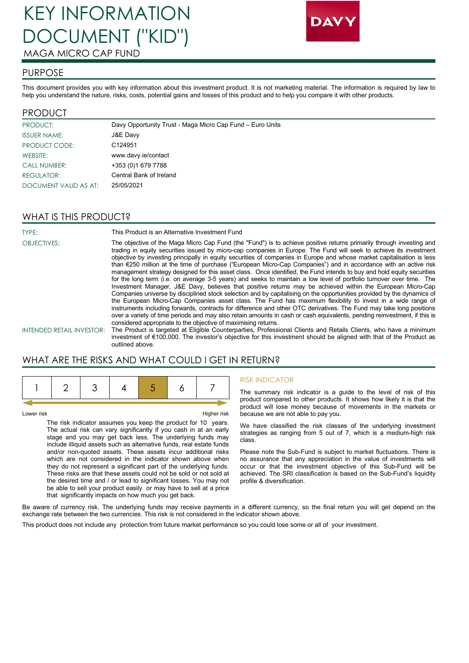# KEY INFORMATION DOCUMENT ("KID") MAGA MICRO CAP FUND



#### PURPOSE

This document provides you with key information about this investment product. It is not marketing material. The information is required by law to help you understand the nature, risks, costs, potential gains and losses of this product and to help you compare it with other products.

#### PRODUCT

| PRODUCT:              | Davy Opportunity Trust - Maga Micro Cap Fund - Euro Units |
|-----------------------|-----------------------------------------------------------|
| <b>ISSUER NAME:</b>   | J&E Davy                                                  |
| PRODUCT CODE:         | C124951                                                   |
| WEBSITE:              | www.davy.ie/contact                                       |
| <b>CALL NUMBER:</b>   | +353 (0)1 679 7788                                        |
| REGULATOR:            | Central Bank of Ireland                                   |
| DOCUMENT VALID AS AT: | 25/05/2021                                                |

### WHAT IS THIS PRODUCT?

TYPE: This Product is an Alternative Investment Fund OBJECTIVES: The objective of the Maga Micro Cap Fund (the "Fund") is to achieve positive returns primarily through investing and trading in equity securities issued by micro-cap companies in Europe. The Fund will seek to achieve its investment objective by investing principally in equity securities of companies in Europe and whose market capitalisation is less than €250 million at the time of purchase ("European Micro-Cap Companies") and in accordance with an active risk management strategy designed for this asset class. Once identified, the Fund intends to buy and hold equity securities for the long term (i.e. on average 3-5 years) and seeks to maintain a low level of portfolio turnover over time. The Investment Manager, J&E Davy, believes that positive returns may be achieved within the European Micro-Cap Companies universe by disciplined stock selection and by capitalising on the opportunities provided by the dynamics of the European Micro-Cap Companies asset class. The Fund has maximum flexibility to invest in a wide range of instruments including forwards, contracts for difference and other OTC derivatives. The Fund may take long positions over a variety of time periods and may also retain amounts in cash or cash equivalents, pending reinvestment, if this is considered appropriate to the objective of maximising returns. INTENDED RETAIL INVESTOR: The Product is targeted at Eligible Counterparties, Professional Clients and Retails Clients, who have a minimum

WHAT ARE THE RISKS AND WHAT COULD I GET IN RETURN?

outlined above.

Lower risk Higher risk

The risk indicator assumes you keep the product for 10 years. The actual risk can vary significantly if you cash in at an early stage and you may get back less. The underlying funds may include illiquid assets such as alternative funds, real estate funds and/or non-quoted assets. These assets incur additional risks which are not considered in the indicator shown above when they do not represent a significant part of the underlying funds. These risks are that these assets could not be sold or not sold at the desired time and / or lead to significant losses. You may not be able to sell your product easily or may have to sell at a price that significantly impacts on how much you get back.

#### RISK INDICATOR

investment of €100,000. The investor's objective for this investment should be aligned with that of the Product as

The summary risk indicator is a guide to the level of risk of this product compared to other products. It shows how likely it is that the product will lose money because of movements in the markets or because we are not able to pay you.

We have classified the risk classes of the underlying investment strategies as ranging from 5 out of 7, which is a medium-high risk class.

Please note the Sub-Fund is subject to market fluctuations. There is no assurance that any appreciation in the value of investments will occur or that the investment objective of this Sub-Fund will be achieved. The SRI classification is based on the Sub-Fund's liquidity profile & diversification.

Be aware of currency risk. The underlying funds may receive payments in a different currency, so the final return you will get depend on the exchange rate between the two currencies. This risk is not considered in the indicator shown above.

This product does not include any protection from future market performance so you could lose some or all of your investment.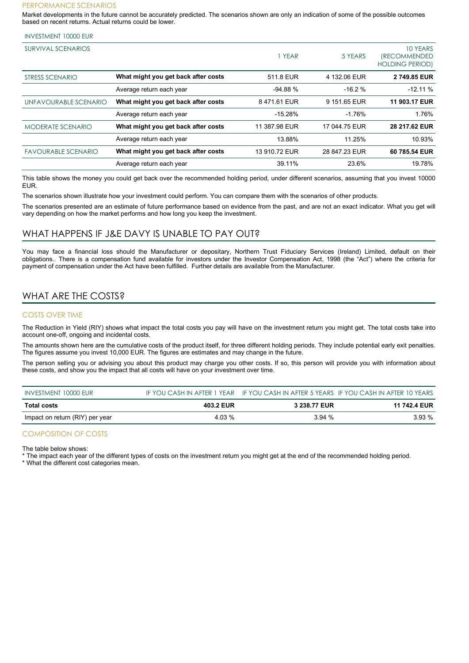#### PERFORMANCE SCENARIOS

Market developments in the future cannot be accurately predicted. The scenarios shown are only an indication of some of the possible outcomes based on recent returns. Actual returns could be lower.

| <b>INVESTMENT 10000 EUR</b> |  |  |
|-----------------------------|--|--|
|-----------------------------|--|--|

| SURVIVAL SCENARIOS         |                                     | YEAR          | 5 YEARS       | 10 YEARS<br><i><b>(RECOMMENDED)</b></i><br><b>HOLDING PERIOD)</b> |
|----------------------------|-------------------------------------|---------------|---------------|-------------------------------------------------------------------|
| STRESS SCENARIO            | What might you get back after costs | 511.8 EUR     | 4 132.06 EUR  | 2749.85 EUR                                                       |
|                            | Average return each year            | $-94.88%$     | $-16.2%$      | $-12.11%$                                                         |
| UNFAVOURABLE SCENARIO      | What might you get back after costs | 8471.61 EUR   | 9 151.65 EUR  | 11 903.17 EUR                                                     |
|                            | Average return each year            | $-15.28%$     | $-1.76%$      | 1.76%                                                             |
| <b>MODERATE SCENARIO</b>   | What might you get back after costs | 11 387.98 EUR | 17 044.75 EUR | 28 217.62 EUR                                                     |
|                            | Average return each year            | 13.88%        | 11.25%        | 10.93%                                                            |
| <b>FAVOURABLE SCENARIO</b> | What might you get back after costs | 13 910.72 EUR | 28 847.23 EUR | 60 785.54 EUR                                                     |
|                            | Average return each year            | 39.11%        | 23.6%         | 19.78%                                                            |

This table shows the money you could get back over the recommended holding period, under different scenarios, assuming that you invest 10000 EUR.

The scenarios shown illustrate how your investment could perform. You can compare them with the scenarios of other products.

The scenarios presented are an estimate of future performance based on evidence from the past, and are not an exact indicator. What you get will vary depending on how the market performs and how long you keep the investment.

#### WHAT HAPPENS IF J&E DAVY IS UNABLE TO PAY OUT?

You may face a financial loss should the Manufacturer or depositary, Northern Trust Fiduciary Services (Ireland) Limited, default on their obligations.. There is a compensation fund available for investors under the Investor Compensation Act, 1998 (the "Act") where the criteria for payment of compensation under the Act have been fulfilled. Further details are available from the Manufacturer.

# WHAT ARE THE COSTS?

#### COSTS OVER TIME

The Reduction in Yield (RIY) shows what impact the total costs you pay will have on the investment return you might get. The total costs take into account one-off, ongoing and incidental costs.

The amounts shown here are the cumulative costs of the product itself, for three different holding periods. They include potential early exit penalties. The figures assume you invest 10,000 EUR. The figures are estimates and may change in the future.

The person selling you or advising you about this product may charge you other costs. If so, this person will provide you with information about these costs, and show you the impact that all costs will have on your investment over time.

| INVESTMENT 10000 EUR            |           |              | IF YOU CASH IN AFTER 1 YEAR IF YOU CASH IN AFTER 5 YEARS IF YOU CASH IN AFTER 10 YEARS |
|---------------------------------|-----------|--------------|----------------------------------------------------------------------------------------|
| <b>Total costs</b>              | 403.2 EUR | 3 238.77 EUR | 11 742.4 EUR                                                                           |
| Impact on return (RIY) per year | 4.03 %    | 3.94 %       | 3.93 %                                                                                 |

#### COMPOSITION OF COSTS

The table below shows:

The impact each year of the different types of costs on the investment return you might get at the end of the recommended holding period.

\* What the different cost categories mean.